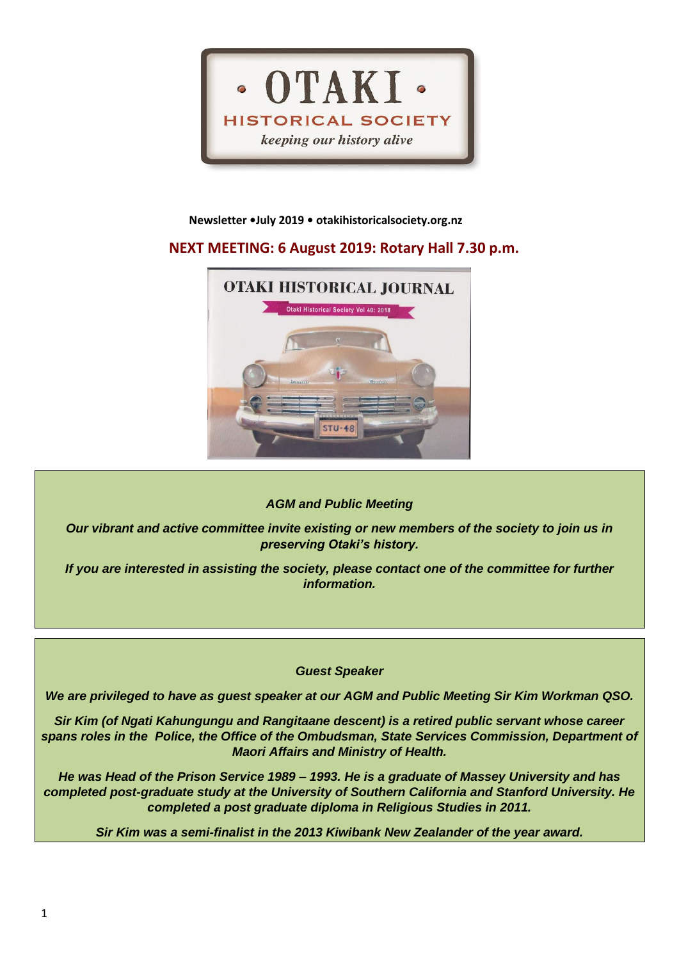

### **Newsletter •July 2019 • otakihistoricalsociety.org.nz**

# **NEXT MEETING: 6 August 2019: Rotary Hall 7.30 p.m.**



# *AGM and Public Meeting*

*Our vibrant and active committee invite existing or new members of the society to join us in preserving Otaki's history.*

*If you are interested in assisting the society, please contact one of the committee for further information.*

*Guest Speaker*

*We are privileged to have as guest speaker at our AGM and Public Meeting Sir Kim Workman QSO.*

*Sir Kim (of Ngati Kahungungu and Rangitaane descent) is a retired public servant whose career spans roles in the Police, the Office of the Ombudsman, State Services Commission, Department of Maori Affairs and Ministry of Health.*

*He was Head of the Prison Service 1989 – 1993. He is a graduate of Massey University and has completed post-graduate study at the University of Southern California and Stanford University. He completed a post graduate diploma in Religious Studies in 2011.*

*Sir Kim was a semi-finalist in the 2013 Kiwibank New Zealander of the year award.*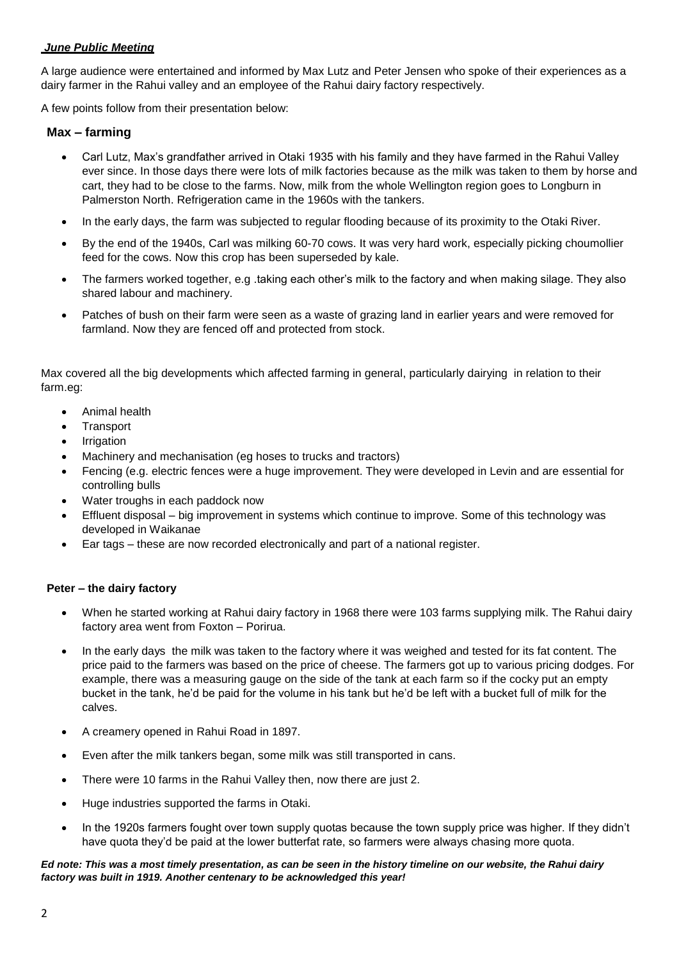## *June Public Meeting*

A large audience were entertained and informed by Max Lutz and Peter Jensen who spoke of their experiences as a dairy farmer in the Rahui valley and an employee of the Rahui dairy factory respectively.

A few points follow from their presentation below:

## **Max – farming**

- Carl Lutz, Max's grandfather arrived in Otaki 1935 with his family and they have farmed in the Rahui Valley ever since. In those days there were lots of milk factories because as the milk was taken to them by horse and cart, they had to be close to the farms. Now, milk from the whole Wellington region goes to Longburn in Palmerston North. Refrigeration came in the 1960s with the tankers.
- In the early days, the farm was subjected to regular flooding because of its proximity to the Otaki River.
- By the end of the 1940s, Carl was milking 60-70 cows. It was very hard work, especially picking choumollier feed for the cows. Now this crop has been superseded by kale.
- The farmers worked together, e.g .taking each other's milk to the factory and when making silage. They also shared labour and machinery.
- Patches of bush on their farm were seen as a waste of grazing land in earlier years and were removed for farmland. Now they are fenced off and protected from stock.

Max covered all the big developments which affected farming in general, particularly dairying in relation to their farm.eg:

- Animal health
- **Transport**
- **Irrigation**
- Machinery and mechanisation (eg hoses to trucks and tractors)
- Fencing (e.g. electric fences were a huge improvement. They were developed in Levin and are essential for controlling bulls
- Water troughs in each paddock now
- Effluent disposal big improvement in systems which continue to improve. Some of this technology was developed in Waikanae
- Ear tags these are now recorded electronically and part of a national register.

## **Peter – the dairy factory**

- When he started working at Rahui dairy factory in 1968 there were 103 farms supplying milk. The Rahui dairy factory area went from Foxton – Porirua.
- In the early days the milk was taken to the factory where it was weighed and tested for its fat content. The price paid to the farmers was based on the price of cheese. The farmers got up to various pricing dodges. For example, there was a measuring gauge on the side of the tank at each farm so if the cocky put an empty bucket in the tank, he'd be paid for the volume in his tank but he'd be left with a bucket full of milk for the calves.
- A creamery opened in Rahui Road in 1897.
- Even after the milk tankers began, some milk was still transported in cans.
- There were 10 farms in the Rahui Valley then, now there are just 2.
- Huge industries supported the farms in Otaki.
- In the 1920s farmers fought over town supply quotas because the town supply price was higher. If they didn't have quota they'd be paid at the lower butterfat rate, so farmers were always chasing more quota.

#### *Ed note: This was a most timely presentation, as can be seen in the history timeline on our website, the Rahui dairy factory was built in 1919. Another centenary to be acknowledged this year!*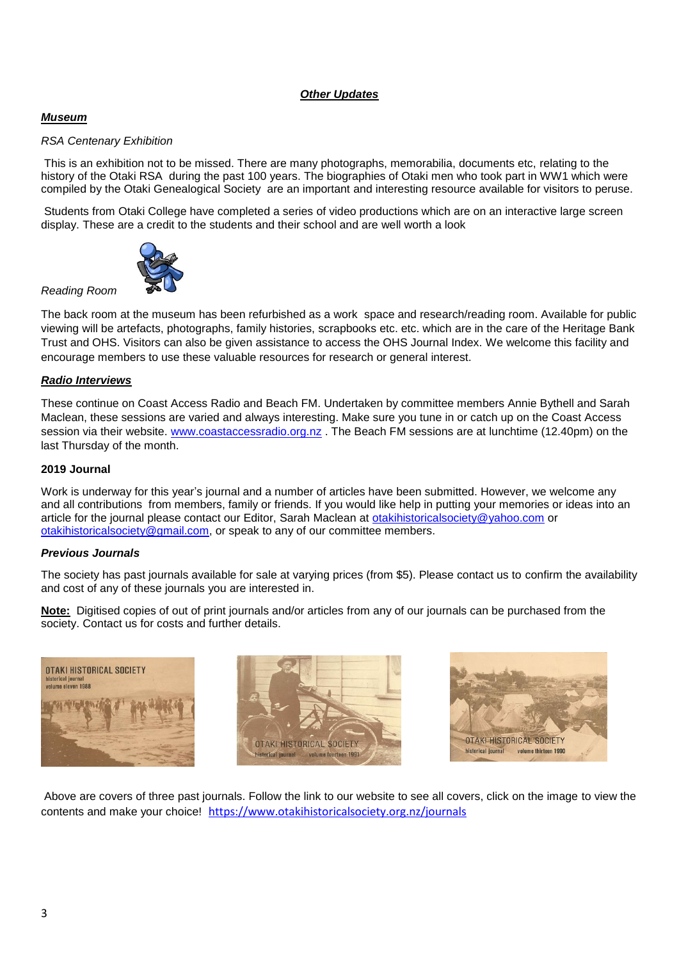# *Other Updates*

# *Museum*

## *RSA Centenary Exhibition*

This is an exhibition not to be missed. There are many photographs, memorabilia, documents etc, relating to the history of the Otaki RSA during the past 100 years. The biographies of Otaki men who took part in WW1 which were compiled by the Otaki Genealogical Society are an important and interesting resource available for visitors to peruse.

Students from Otaki College have completed a series of video productions which are on an interactive large screen display. These are a credit to the students and their school and are well worth a look



The back room at the museum has been refurbished as a work space and research/reading room. Available for public viewing will be artefacts, photographs, family histories, scrapbooks etc. etc. which are in the care of the Heritage Bank Trust and OHS. Visitors can also be given assistance to access the OHS Journal Index. We welcome this facility and encourage members to use these valuable resources for research or general interest.

#### *Radio Interviews*

*Reading Room* 

These continue on Coast Access Radio and Beach FM. Undertaken by committee members Annie Bythell and Sarah Maclean, these sessions are varied and always interesting. Make sure you tune in or catch up on the Coast Access session via their website. [www.coastaccessradio.org.nz](http://www.coastaccessradio.org.nz/) . The Beach FM sessions are at lunchtime (12.40pm) on the last Thursday of the month.

### **2019 Journal**

Work is underway for this year's journal and a number of articles have been submitted. However, we welcome any and all contributions from members, family or friends. If you would like help in putting your memories or ideas into an article for the journal please contact our Editor, Sarah Maclean at [otakihistoricalsociety@yahoo.com](mailto:otakihistoricalsociety@yahoo.com) or [otakihistoricalsociety@gmail.com,](mailto:otakihistoricalsociety@gmail.com) or speak to any of our committee members.

## *Previous Journals*

The society has past journals available for sale at varying prices (from \$5). Please contact us to confirm the availability and cost of any of these journals you are interested in.

**Note:** Digitised copies of out of print journals and/or articles from any of our journals can be purchased from the society. Contact us for costs and further details.







Above are covers of three past journals. Follow the link to our website to see all covers, click on the image to view the contents and make your choice! <https://www.otakihistoricalsociety.org.nz/journals>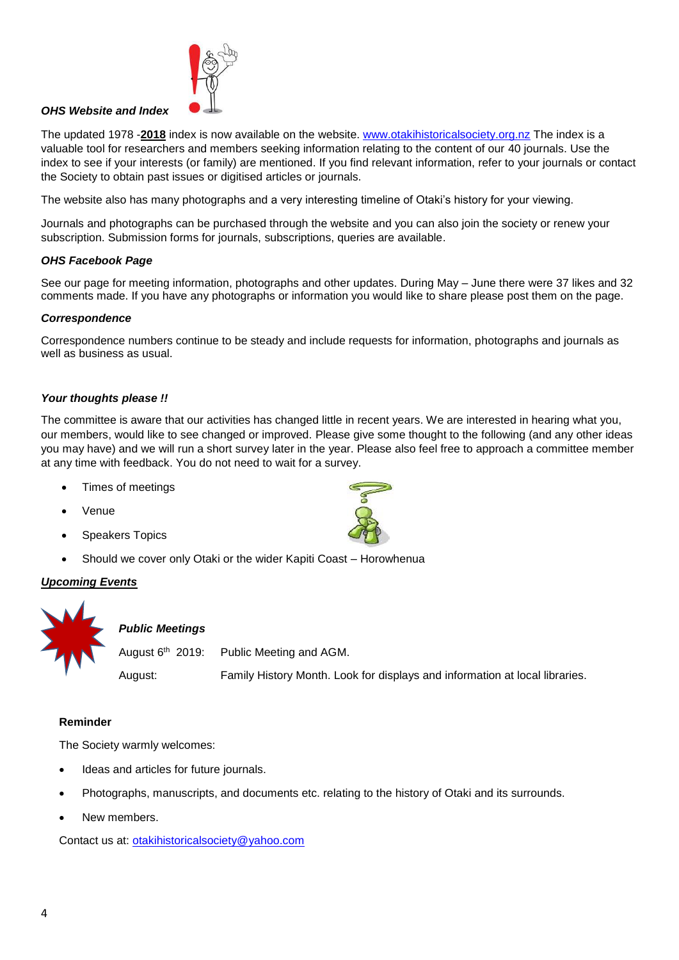

# *OHS Website and Index*

The updated 1978 -**2018** index is now available on the website. [www.otakihistoricalsociety.org.nz](http://www.otakihistoricalsociety.org.nz/) The index is a valuable tool for researchers and members seeking information relating to the content of our 40 journals. Use the index to see if your interests (or family) are mentioned. If you find relevant information, refer to your journals or contact the Society to obtain past issues or digitised articles or journals.

The website also has many photographs and a very interesting timeline of Otaki's history for your viewing.

Journals and photographs can be purchased through the website and you can also join the society or renew your subscription. Submission forms for journals, subscriptions, queries are available.

#### *OHS Facebook Page*

See our page for meeting information, photographs and other updates. During May – June there were 37 likes and 32 comments made. If you have any photographs or information you would like to share please post them on the page.

#### *Correspondence*

Correspondence numbers continue to be steady and include requests for information, photographs and journals as well as business as usual.

#### *Your thoughts please !!*

The committee is aware that our activities has changed little in recent years. We are interested in hearing what you, our members, would like to see changed or improved. Please give some thought to the following (and any other ideas you may have) and we will run a short survey later in the year. Please also feel free to approach a committee member at any time with feedback. You do not need to wait for a survey.

- Times of meetings
- Venue
- Speakers Topics
- Should we cover only Otaki or the wider Kapiti Coast Horowhenua

#### *Upcoming Events*



#### *Public Meetings*

August  $6<sup>th</sup>$  2019: Public Meeting and AGM.

August: Family History Month. Look for displays and information at local libraries.

#### **Reminder**

The Society warmly welcomes:

- Ideas and articles for future journals.
- Photographs, manuscripts, and documents etc. relating to the history of Otaki and its surrounds.
- New members.

Contact us at: [otakihistoricalsociety@yahoo.com](mailto:otakihistoricalsociety@yahoo.com)

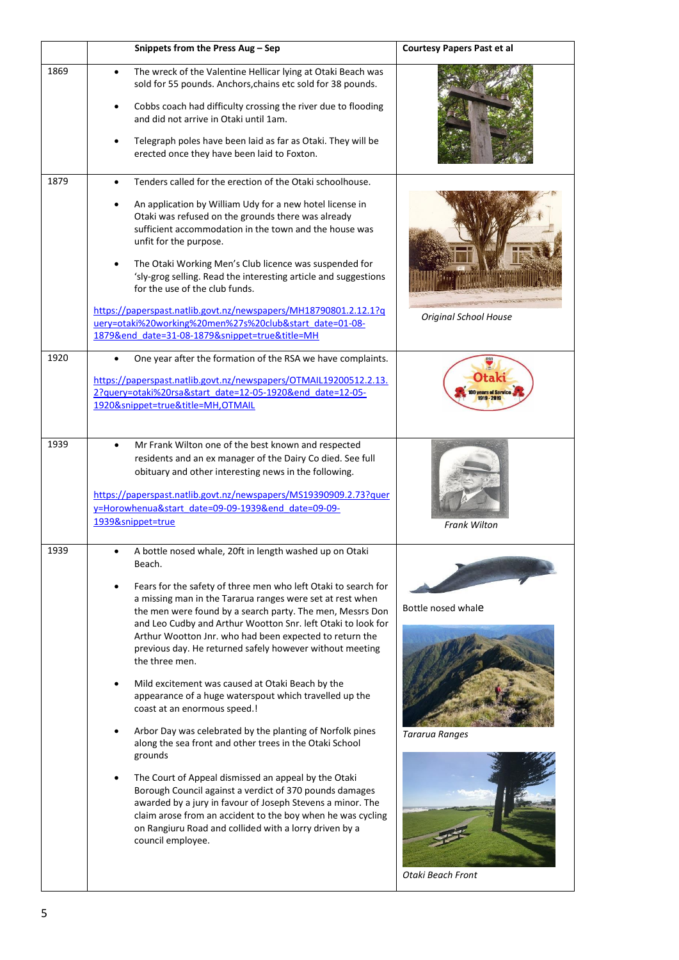|      | Snippets from the Press Aug – Sep                                                                                                                                                                                                                                                                                                                                                                                                                                                                                                                                                                                                                                                                                                                                                                                                                                                                                                                                                                                                                                                      | Courtesy Papers Past et al                                              |
|------|----------------------------------------------------------------------------------------------------------------------------------------------------------------------------------------------------------------------------------------------------------------------------------------------------------------------------------------------------------------------------------------------------------------------------------------------------------------------------------------------------------------------------------------------------------------------------------------------------------------------------------------------------------------------------------------------------------------------------------------------------------------------------------------------------------------------------------------------------------------------------------------------------------------------------------------------------------------------------------------------------------------------------------------------------------------------------------------|-------------------------------------------------------------------------|
| 1869 | The wreck of the Valentine Hellicar lying at Otaki Beach was<br>$\bullet$<br>sold for 55 pounds. Anchors, chains etc sold for 38 pounds.<br>Cobbs coach had difficulty crossing the river due to flooding<br>٠<br>and did not arrive in Otaki until 1am.<br>Telegraph poles have been laid as far as Otaki. They will be<br>erected once they have been laid to Foxton.                                                                                                                                                                                                                                                                                                                                                                                                                                                                                                                                                                                                                                                                                                                |                                                                         |
| 1879 | Tenders called for the erection of the Otaki schoolhouse.<br>An application by William Udy for a new hotel license in<br>Otaki was refused on the grounds there was already<br>sufficient accommodation in the town and the house was<br>unfit for the purpose.<br>The Otaki Working Men's Club licence was suspended for<br>'sly-grog selling. Read the interesting article and suggestions<br>for the use of the club funds.<br>https://paperspast.natlib.govt.nz/newspapers/MH18790801.2.12.1?q<br>uery=otaki%20working%20men%27s%20club&start_date=01-08-<br>1879&end_date=31-08-1879&snippet=true&title=MH                                                                                                                                                                                                                                                                                                                                                                                                                                                                        | <b>Original School House</b>                                            |
| 1920 | One year after the formation of the RSA we have complaints.<br>https://paperspast.natlib.govt.nz/newspapers/OTMAIL19200512.2.13.<br>2?query=otaki%20rsa&start date=12-05-1920&end date=12-05-<br>1920&snippet=true&title=MH,OTMAIL                                                                                                                                                                                                                                                                                                                                                                                                                                                                                                                                                                                                                                                                                                                                                                                                                                                     | <b>Otak</b><br><b>O years of Service</b>                                |
| 1939 | Mr Frank Wilton one of the best known and respected<br>$\bullet$<br>residents and an ex manager of the Dairy Co died. See full<br>obituary and other interesting news in the following.<br>https://paperspast.natlib.govt.nz/newspapers/MS19390909.2.73?quer<br>y=Horowhenua&start_date=09-09-1939&end_date=09-09-<br>1939&snippet=true                                                                                                                                                                                                                                                                                                                                                                                                                                                                                                                                                                                                                                                                                                                                                | <b>Frank Wilton</b>                                                     |
| 1939 | A bottle nosed whale, 20ft in length washed up on Otaki<br>Beach.<br>Fears for the safety of three men who left Otaki to search for<br>a missing man in the Tararua ranges were set at rest when<br>the men were found by a search party. The men, Messrs Don<br>and Leo Cudby and Arthur Wootton Snr. left Otaki to look for<br>Arthur Wootton Jnr. who had been expected to return the<br>previous day. He returned safely however without meeting<br>the three men.<br>Mild excitement was caused at Otaki Beach by the<br>appearance of a huge waterspout which travelled up the<br>coast at an enormous speed.!<br>Arbor Day was celebrated by the planting of Norfolk pines<br>along the sea front and other trees in the Otaki School<br>grounds<br>The Court of Appeal dismissed an appeal by the Otaki<br>Borough Council against a verdict of 370 pounds damages<br>awarded by a jury in favour of Joseph Stevens a minor. The<br>claim arose from an accident to the boy when he was cycling<br>on Rangiuru Road and collided with a lorry driven by a<br>council employee. | Bottle nosed whale<br><b>Tararua Ranges</b><br><b>Otaki Beach Front</b> |